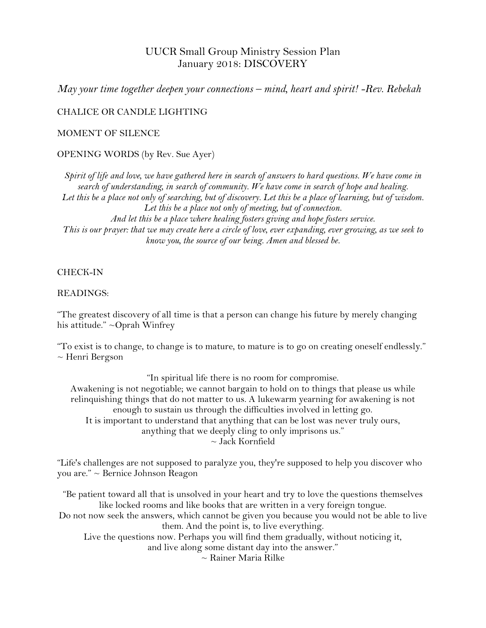# UUCR Small Group Ministry Session Plan January 2018: DISCOVERY

*May your time together deepen your connections – mind, heart and spirit! -Rev. Rebekah*

CHALICE OR CANDLE LIGHTING

MOMENT OF SILENCE

OPENING WORDS (by Rev. Sue Ayer)

*Spirit of life and love, we have gathered here in search of answers to hard questions. We have come in search of understanding, in search of community. We have come in search of hope and healing. Let this be a place not only of searching, but of discovery. Let this be a place of learning, but of wisdom. Let this be a place not only of meeting, but of connection. And let this be a place where healing fosters giving and hope fosters service. This is our prayer: that we may create here a circle of love, ever expanding, ever growing, as we seek to know you, the source of our being. Amen and blessed be.*

## CHECK-IN

#### READINGS:

"The greatest discovery of all time is that a person can change his future by merely changing his attitude." ~Oprah Winfrey

"To exist is to change, to change is to mature, to mature is to go on creating oneself endlessly." ~ Henri Bergson

"In spiritual life there is no room for compromise. Awakening is not negotiable; we cannot bargain to hold on to things that please us while relinquishing things that do not matter to us. A lukewarm yearning for awakening is not enough to sustain us through the difficulties involved in letting go. It is important to understand that anything that can be lost was never truly ours, anything that we deeply cling to only imprisons us." ~ Jack Kornfield

"Life's challenges are not supposed to paralyze you, they're supposed to help you discover who you are." ~ Bernice Johnson Reagon

"Be patient toward all that is unsolved in your heart and try to love the questions themselves like locked rooms and like books that are written in a very foreign tongue.

Do not now seek the answers, which cannot be given you because you would not be able to live them. And the point is, to live everything.

Live the questions now. Perhaps you will find them gradually, without noticing it,

and live along some distant day into the answer."

 $\sim$  Rainer Maria Rilke